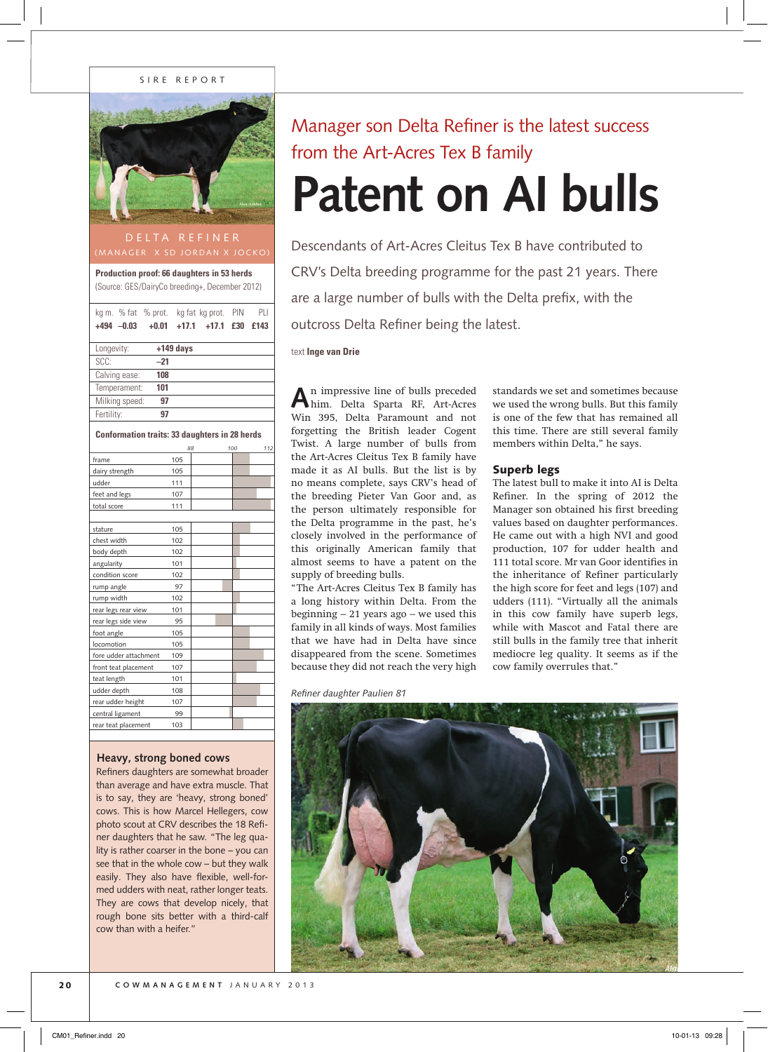### SIRE REPORT



### (MANAGER X SD JORDAN X JOCKO)

**Production proof: 66 daughters in 53 herds** (Source: GES/DairyCo breeding+, December 2012)

| kg m. % fat % prot. |         |             | kg fat kg prot. | PIN | PLI  |
|---------------------|---------|-------------|-----------------|-----|------|
| $+494 -0.03$        | $+0.01$ | $+17.1$     | $+17.1$ £30     |     | £143 |
|                     |         |             |                 |     |      |
| Longevity:          |         | $+149$ days |                 |     |      |
| SCC:                | $-21$   |             |                 |     |      |
| Calving ease:       | 108     |             |                 |     |      |
| Temperament:        | 101     |             |                 |     |      |
| Milking speed:      | 97      |             |                 |     |      |
| Fertility:          | 97      |             |                 |     |      |

**Conformation traits: 33 daughters in 28 herds**

|                       |     | 88 | 100 | 112 |
|-----------------------|-----|----|-----|-----|
| frame                 | 105 |    |     |     |
| dairy strength        | 105 |    |     |     |
| udder                 | 111 |    |     |     |
| feet and legs         | 107 |    |     |     |
| total score           | 111 |    |     |     |
|                       |     |    |     |     |
| stature               | 105 |    |     |     |
| chest width           | 102 |    |     |     |
| body depth            | 102 |    |     |     |
| angularity            | 101 |    |     |     |
| condition score       | 102 |    |     |     |
| rump angle            | 97  |    |     |     |
| rump width            | 102 |    |     |     |
| rear legs rear view   | 101 |    |     |     |
| rear legs side view   | 95  |    |     |     |
| foot angle            | 105 |    |     |     |
| locomotion            | 105 |    |     |     |
| fore udder attachment | 109 |    |     |     |
| front teat placement  | 107 |    |     |     |
| teat length           | 101 |    |     |     |
| udder depth           | 108 |    |     |     |
| rear udder height     | 107 |    |     |     |
| central ligament      | 99  |    |     |     |
| rear teat placement   | 103 |    |     |     |
|                       |     |    |     |     |

### **Heavy, strong boned cows**

Refiners daughters are somewhat broader than average and have extra muscle. That is to say, they are 'heavy, strong boned' cows. This is how Marcel Hellegers, cow photo scout at CRV describes the 18 Refiner daughters that he saw. "The leg quality is rather coarser in the bone – you can see that in the whole cow – but they walk easily. They also have flexible, well-formed udders with neat, rather longer teats. They are cows that develop nicely, that rough bone sits better with a third-calf cow than with a heifer."

## Manager son Delta Refiner is the latest success from the Art-Acres Tex B family

# **Patent on AI bulls**

Descendants of Art-Acres Cleitus Tex B have contributed to CRV's Delta breeding programme for the past 21 years. There are a large number of bulls with the Delta prefix, with the outcross Delta Refiner being the latest.

#### text **Inge van Drie**

**A**n impressive line of bulls preceded him. Delta Sparta RF, Art-Acres Win 395, Delta Paramount and not forgetting the British leader Cogent Twist. A large number of bulls from the Art-Acres Cleitus Tex B family have made it as AI bulls. But the list is by no means complete, says CRV's head of the breeding Pieter Van Goor and, as the person ultimately responsible for the Delta programme in the past, he's closely involved in the performance of this originally American family that almost seems to have a patent on the supply of breeding bulls.

"The Art-Acres Cleitus Tex B family has a long history within Delta. From the beginning  $-21$  years ago  $-$  we used this family in all kinds of ways. Most families that we have had in Delta have since disappeared from the scene. Sometimes because they did not reach the very high

*Refiner daughter Paulien 81*

standards we set and sometimes because we used the wrong bulls. But this family is one of the few that has remained all this time. There are still several family members within Delta," he says.

### Superb legs

The latest bull to make it into AI is Delta Refiner. In the spring of 2012 the Manager son obtained his first breeding values based on daughter performances. He came out with a high NVI and good production, 107 for udder health and 111 total score. Mr van Goor identifies in the inheritance of Refiner particularly the high score for feet and legs (107) and udders (111). "Virtually all the animals in this cow family have superb legs, while with Mascot and Fatal there are still bulls in the family tree that inherit mediocre leg quality. It seems as if the cow family overrules that."